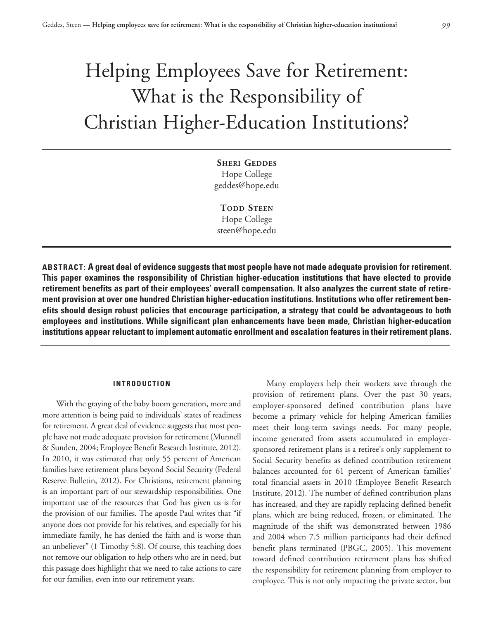# Helping Employees Save for Retirement: What is the Responsibility of Christian Higher-Education Institutions?

**Sheri Geddes** Hope College geddes@hope.edu

**TODD STEEN** Hope College steen@hope.edu

**ABSTRACT: A great deal of evidence suggests that most people have not made adequate provision for retirement. This paper examines the responsibility of Christian higher-education institutions that have elected to provide retirement benefits as part of their employees' overall compensation. It also analyzes the current state of retirement provision at over one hundred Christian higher-education institutions. Institutions who offer retirement benefits should design robust policies that encourage participation, a strategy that could be advantageous to both employees and institutions. While significant plan enhancements have been made, Christian higher-education institutions appear reluctant to implement automatic enrollment and escalation features in their retirement plans.**

# **INTRODUCTION**

With the graying of the baby boom generation, more and more attention is being paid to individuals' states of readiness for retirement. A great deal of evidence suggests that most people have not made adequate provision for retirement (Munnell & Sunden, 2004; Employee Benefit Research Institute, 2012). In 2010, it was estimated that only 55 percent of American families have retirement plans beyond Social Security (Federal Reserve Bulletin, 2012). For Christians, retirement planning is an important part of our stewardship responsibilities. One important use of the resources that God has given us is for the provision of our families. The apostle Paul writes that "if anyone does not provide for his relatives, and especially for his immediate family, he has denied the faith and is worse than an unbeliever" (1 Timothy 5:8). Of course, this teaching does not remove our obligation to help others who are in need, but this passage does highlight that we need to take actions to care for our families, even into our retirement years.

Many employers help their workers save through the provision of retirement plans. Over the past 30 years, employer-sponsored defined contribution plans have become a primary vehicle for helping American families meet their long-term savings needs. For many people, income generated from assets accumulated in employersponsored retirement plans is a retiree's only supplement to Social Security benefits as defined contribution retirement balances accounted for 61 percent of American families' total financial assets in 2010 (Employee Benefit Research Institute, 2012). The number of defined contribution plans has increased, and they are rapidly replacing defined benefit plans, which are being reduced, frozen, or eliminated. The magnitude of the shift was demonstrated between 1986 and 2004 when 7.5 million participants had their defined benefit plans terminated (PBGC, 2005). This movement toward defined contribution retirement plans has shifted the responsibility for retirement planning from employer to employee. This is not only impacting the private sector, but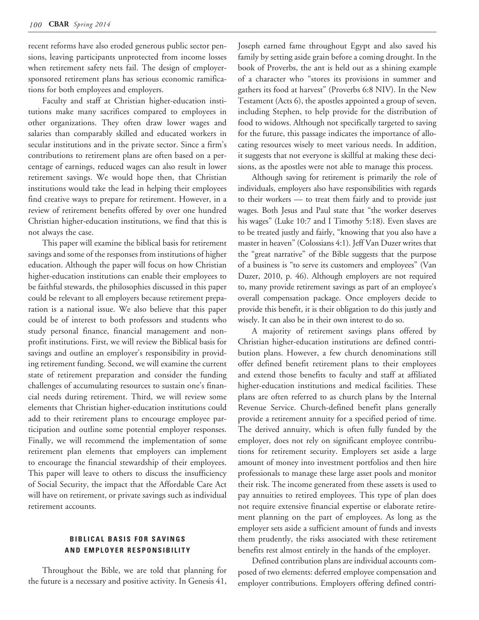recent reforms have also eroded generous public sector pensions, leaving participants unprotected from income losses when retirement safety nets fail. The design of employersponsored retirement plans has serious economic ramifications for both employees and employers.

Faculty and staff at Christian higher-education institutions make many sacrifices compared to employees in other organizations. They often draw lower wages and salaries than comparably skilled and educated workers in secular institutions and in the private sector. Since a firm's contributions to retirement plans are often based on a percentage of earnings, reduced wages can also result in lower retirement savings. We would hope then, that Christian institutions would take the lead in helping their employees find creative ways to prepare for retirement. However, in a review of retirement benefits offered by over one hundred Christian higher-education institutions, we find that this is not always the case.

This paper will examine the biblical basis for retirement savings and some of the responses from institutions of higher education. Although the paper will focus on how Christian higher-education institutions can enable their employees to be faithful stewards, the philosophies discussed in this paper could be relevant to all employers because retirement preparation is a national issue. We also believe that this paper could be of interest to both professors and students who study personal finance, financial management and nonprofit institutions. First, we will review the Biblical basis for savings and outline an employer's responsibility in providing retirement funding. Second, we will examine the current state of retirement preparation and consider the funding challenges of accumulating resources to sustain one's financial needs during retirement. Third, we will review some elements that Christian higher-education institutions could add to their retirement plans to encourage employee participation and outline some potential employer responses. Finally, we will recommend the implementation of some retirement plan elements that employers can implement to encourage the financial stewardship of their employees. This paper will leave to others to discuss the insufficiency of Social Security, the impact that the Affordable Care Act will have on retirement, or private savings such as individual retirement accounts.

# **BIBLICAL BASIS FOR SAVINGS AND EMPLOYER RESPONSIBILITY**

Throughout the Bible, we are told that planning for the future is a necessary and positive activity. In Genesis 41,

Joseph earned fame throughout Egypt and also saved his family by setting aside grain before a coming drought. In the book of Proverbs, the ant is held out as a shining example of a character who "stores its provisions in summer and gathers its food at harvest" (Proverbs 6:8 NIV). In the New Testament (Acts 6), the apostles appointed a group of seven, including Stephen, to help provide for the distribution of food to widows. Although not specifically targeted to saving for the future, this passage indicates the importance of allocating resources wisely to meet various needs. In addition, it suggests that not everyone is skillful at making these decisions, as the apostles were not able to manage this process.

Although saving for retirement is primarily the role of individuals, employers also have responsibilities with regards to their workers — to treat them fairly and to provide just wages. Both Jesus and Paul state that "the worker deserves his wages" (Luke 10:7 and I Timothy 5:18). Even slaves are to be treated justly and fairly, "knowing that you also have a master in heaven" (Colossians 4:1). Jeff Van Duzer writes that the "great narrative" of the Bible suggests that the purpose of a business is "to serve its customers and employees" (Van Duzer, 2010, p. 46). Although employers are not required to, many provide retirement savings as part of an employee's overall compensation package. Once employers decide to provide this benefit, it is their obligation to do this justly and wisely. It can also be in their own interest to do so.

A majority of retirement savings plans offered by Christian higher-education institutions are defined contribution plans. However, a few church denominations still offer defined benefit retirement plans to their employees and extend those benefits to faculty and staff at affiliated higher-education institutions and medical facilities. These plans are often referred to as church plans by the Internal Revenue Service. Church-defined benefit plans generally provide a retirement annuity for a specified period of time. The derived annuity, which is often fully funded by the employer, does not rely on significant employee contributions for retirement security. Employers set aside a large amount of money into investment portfolios and then hire professionals to manage these large asset pools and monitor their risk. The income generated from these assets is used to pay annuities to retired employees. This type of plan does not require extensive financial expertise or elaborate retirement planning on the part of employees. As long as the employer sets aside a sufficient amount of funds and invests them prudently, the risks associated with these retirement benefits rest almost entirely in the hands of the employer.

Defined contribution plans are individual accounts composed of two elements: deferred employee compensation and employer contributions. Employers offering defined contri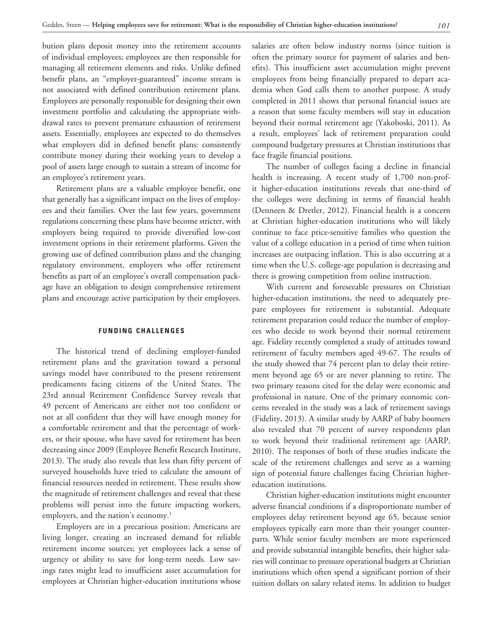bution plans deposit money into the retirement accounts of individual employees; employees are then responsible for managing all retirement elements and risks. Unlike defined benefit plans, an "employer-guaranteed" income stream is not associated with defined contribution retirement plans. Employees are personally responsible for designing their own investment portfolio and calculating the appropriate withdrawal rates to prevent premature exhaustion of retirement assets. Essentially, employees are expected to do themselves what employers did in defined benefit plans: consistently contribute money during their working years to develop a pool of assets large enough to sustain a stream of income for an employee's retirement years.

Retirement plans are a valuable employee benefit, one that generally has a significant impact on the lives of employees and their families. Over the last few years, government regulations concerning these plans have become stricter, with employers being required to provide diversified low-cost investment options in their retirement platforms. Given the growing use of defined contribution plans and the changing regulatory environment, employers who offer retirement benefits as part of an employee's overall compensation package have an obligation to design comprehensive retirement plans and encourage active participation by their employees.

## **FUNDING CHALLENGES**

The historical trend of declining employer-funded retirement plans and the gravitation toward a personal savings model have contributed to the present retirement predicaments facing citizens of the United States. The 23rd annual Retirement Confidence Survey reveals that 49 percent of Americans are either not too confident or not at all confident that they will have enough money for a comfortable retirement and that the percentage of workers, or their spouse, who have saved for retirement has been decreasing since 2009 (Employee Benefit Research Institute, 2013). The study also reveals that less than fifty percent of surveyed households have tried to calculate the amount of financial resources needed in retirement. These results show the magnitude of retirement challenges and reveal that these problems will persist into the future impacting workers, employers, and the nation's economy.<sup>1</sup>

Employers are in a precarious position: Americans are living longer, creating an increased demand for reliable retirement income sources; yet employees lack a sense of urgency or ability to save for long-term needs. Low savings rates might lead to insufficient asset accumulation for employees at Christian higher-education institutions whose

salaries are often below industry norms (since tuition is often the primary source for payment of salaries and benefits). This insufficient asset accumulation might prevent employees from being financially prepared to depart academia when God calls them to another purpose. A study completed in 2011 shows that personal financial issues are a reason that some faculty members will stay in education beyond their normal retirement age (Yakoboski, 2011). As a result, employees' lack of retirement preparation could compound budgetary pressures at Christian institutions that face fragile financial positions.

The number of colleges facing a decline in financial health is increasing. A recent study of 1,700 non-profit higher-education institutions reveals that one-third of the colleges were declining in terms of financial health (Denneen & Dretler, 2012). Financial health is a concern at Christian higher-education institutions who will likely continue to face price-sensitive families who question the value of a college education in a period of time when tuition increases are outpacing inflation. This is also occurring at a time when the U.S. college-age population is decreasing and there is growing competition from online instruction.

With current and foreseeable pressures on Christian higher-education institutions, the need to adequately prepare employees for retirement is substantial. Adequate retirement preparation could reduce the number of employees who decide to work beyond their normal retirement age. Fidelity recently completed a study of attitudes toward retirement of faculty members aged 49-67. The results of the study showed that 74 percent plan to delay their retirement beyond age 65 or are never planning to retire. The two primary reasons cited for the delay were economic and professional in nature. One of the primary economic concerns revealed in the study was a lack of retirement savings (Fidelity, 2013). A similar study by AARP of baby boomers also revealed that 70 percent of survey respondents plan to work beyond their traditional retirement age (AARP, 2010). The responses of both of these studies indicate the scale of the retirement challenges and serve as a warning sign of potential future challenges facing Christian highereducation institutions.

Christian higher-education institutions might encounter adverse financial conditions if a disproportionate number of employees delay retirement beyond age 65, because senior employees typically earn more than their younger counterparts. While senior faculty members are more experienced and provide substantial intangible benefits, their higher salaries will continue to pressure operational budgets at Christian institutions which often spend a significant portion of their tuition dollars on salary related items. In addition to budget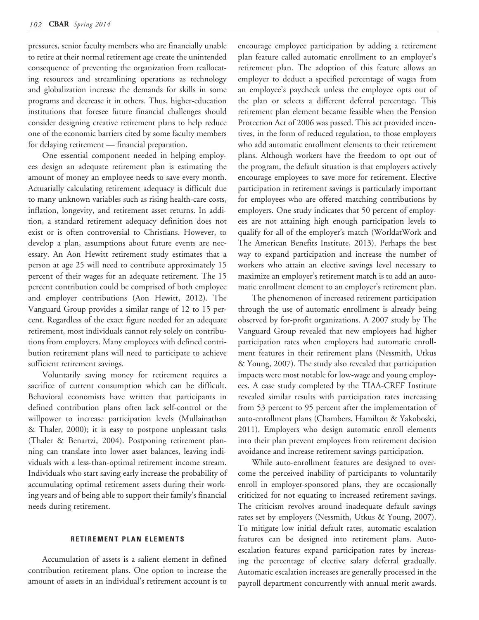pressures, senior faculty members who are financially unable to retire at their normal retirement age create the unintended consequence of preventing the organization from reallocating resources and streamlining operations as technology and globalization increase the demands for skills in some programs and decrease it in others. Thus, higher-education institutions that foresee future financial challenges should consider designing creative retirement plans to help reduce one of the economic barriers cited by some faculty members for delaying retirement — financial preparation.

One essential component needed in helping employees design an adequate retirement plan is estimating the amount of money an employee needs to save every month. Actuarially calculating retirement adequacy is difficult due to many unknown variables such as rising health-care costs, inflation, longevity, and retirement asset returns. In addition, a standard retirement adequacy definition does not exist or is often controversial to Christians. However, to develop a plan, assumptions about future events are necessary. An Aon Hewitt retirement study estimates that a person at age 25 will need to contribute approximately 15 percent of their wages for an adequate retirement. The 15 percent contribution could be comprised of both employee and employer contributions (Aon Hewitt, 2012). The Vanguard Group provides a similar range of 12 to 15 percent. Regardless of the exact figure needed for an adequate retirement, most individuals cannot rely solely on contributions from employers. Many employees with defined contribution retirement plans will need to participate to achieve sufficient retirement savings.

Voluntarily saving money for retirement requires a sacrifice of current consumption which can be difficult. Behavioral economists have written that participants in defined contribution plans often lack self-control or the willpower to increase participation levels (Mullainathan & Thaler, 2000); it is easy to postpone unpleasant tasks (Thaler & Benartzi, 2004). Postponing retirement planning can translate into lower asset balances, leaving individuals with a less-than-optimal retirement income stream. Individuals who start saving early increase the probability of accumulating optimal retirement assets during their working years and of being able to support their family's financial needs during retirement.

### **RETIREMENT PLAN ELEMENTS**

Accumulation of assets is a salient element in defined contribution retirement plans. One option to increase the amount of assets in an individual's retirement account is to

encourage employee participation by adding a retirement plan feature called automatic enrollment to an employer's retirement plan. The adoption of this feature allows an employer to deduct a specified percentage of wages from an employee's paycheck unless the employee opts out of the plan or selects a different deferral percentage. This retirement plan element became feasible when the Pension Protection Act of 2006 was passed. This act provided incentives, in the form of reduced regulation, to those employers who add automatic enrollment elements to their retirement plans. Although workers have the freedom to opt out of the program, the default situation is that employers actively encourage employees to save more for retirement. Elective participation in retirement savings is particularly important for employees who are offered matching contributions by employers. One study indicates that 50 percent of employees are not attaining high enough participation levels to qualify for all of the employer's match (WorldatWork and The American Benefits Institute, 2013). Perhaps the best way to expand participation and increase the number of workers who attain an elective savings level necessary to maximize an employer's retirement match is to add an automatic enrollment element to an employer's retirement plan.

The phenomenon of increased retirement participation through the use of automatic enrollment is already being observed by for-profit organizations. A 2007 study by The Vanguard Group revealed that new employees had higher participation rates when employers had automatic enrollment features in their retirement plans (Nessmith, Utkus & Young, 2007). The study also revealed that participation impacts were most notable for low-wage and young employees. A case study completed by the TIAA-CREF Institute revealed similar results with participation rates increasing from 53 percent to 95 percent after the implementation of auto-enrollment plans (Chambers, Hamilton & Yakoboski, 2011). Employers who design automatic enroll elements into their plan prevent employees from retirement decision avoidance and increase retirement savings participation.

While auto-enrollment features are designed to overcome the perceived inability of participants to voluntarily enroll in employer-sponsored plans, they are occasionally criticized for not equating to increased retirement savings. The criticism revolves around inadequate default savings rates set by employers (Nessmith, Utkus & Young, 2007). To mitigate low initial default rates, automatic escalation features can be designed into retirement plans. Autoescalation features expand participation rates by increasing the percentage of elective salary deferral gradually. Automatic escalation increases are generally processed in the payroll department concurrently with annual merit awards.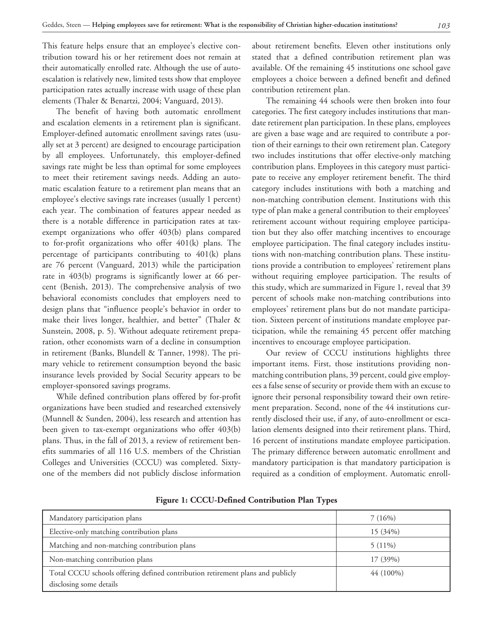This feature helps ensure that an employee's elective contribution toward his or her retirement does not remain at their automatically enrolled rate. Although the use of autoescalation is relatively new, limited tests show that employee participation rates actually increase with usage of these plan elements (Thaler & Benartzi, 2004; Vanguard, 2013).

The benefit of having both automatic enrollment and escalation elements in a retirement plan is significant. Employer-defined automatic enrollment savings rates (usually set at 3 percent) are designed to encourage participation by all employees. Unfortunately, this employer-defined savings rate might be less than optimal for some employees to meet their retirement savings needs. Adding an automatic escalation feature to a retirement plan means that an employee's elective savings rate increases (usually 1 percent) each year. The combination of features appear needed as there is a notable difference in participation rates at taxexempt organizations who offer 403(b) plans compared to for-profit organizations who offer 401(k) plans. The percentage of participants contributing to 401(k) plans are 76 percent (Vanguard, 2013) while the participation rate in 403(b) programs is significantly lower at 66 percent (Benish, 2013). The comprehensive analysis of two behavioral economists concludes that employers need to design plans that "influence people's behavior in order to make their lives longer, healthier, and better" (Thaler & Sunstein, 2008, p. 5). Without adequate retirement preparation, other economists warn of a decline in consumption in retirement (Banks, Blundell & Tanner, 1998). The primary vehicle to retirement consumption beyond the basic insurance levels provided by Social Security appears to be employer-sponsored savings programs.

While defined contribution plans offered by for-profit organizations have been studied and researched extensively (Munnell & Sunden, 2004), less research and attention has been given to tax-exempt organizations who offer 403(b) plans. Thus, in the fall of 2013, a review of retirement benefits summaries of all 116 U.S. members of the Christian Colleges and Universities (CCCU) was completed. Sixtyone of the members did not publicly disclose information

about retirement benefits. Eleven other institutions only stated that a defined contribution retirement plan was available. Of the remaining 45 institutions one school gave employees a choice between a defined benefit and defined contribution retirement plan.

The remaining 44 schools were then broken into four categories. The first category includes institutions that mandate retirement plan participation. In these plans, employees are given a base wage and are required to contribute a portion of their earnings to their own retirement plan. Category two includes institutions that offer elective-only matching contribution plans. Employees in this category must participate to receive any employer retirement benefit. The third category includes institutions with both a matching and non-matching contribution element. Institutions with this type of plan make a general contribution to their employees' retirement account without requiring employee participation but they also offer matching incentives to encourage employee participation. The final category includes institutions with non-matching contribution plans. These institutions provide a contribution to employees' retirement plans without requiring employee participation. The results of this study, which are summarized in Figure 1, reveal that 39 percent of schools make non-matching contributions into employees' retirement plans but do not mandate participation. Sixteen percent of institutions mandate employee participation, while the remaining 45 percent offer matching incentives to encourage employee participation.

Our review of CCCU institutions highlights three important items. First, those institutions providing nonmatching contribution plans, 39 percent, could give employees a false sense of security or provide them with an excuse to ignore their personal responsibility toward their own retirement preparation. Second, none of the 44 institutions currently disclosed their use, if any, of auto-enrollment or escalation elements designed into their retirement plans. Third, 16 percent of institutions mandate employee participation. The primary difference between automatic enrollment and mandatory participation is that mandatory participation is required as a condition of employment. Automatic enroll-

| Mandatory participation plans                                                                             | 7(16%)     |
|-----------------------------------------------------------------------------------------------------------|------------|
| Elective-only matching contribution plans                                                                 | $15(34\%)$ |
| Matching and non-matching contribution plans                                                              | $5(11\%)$  |
| Non-matching contribution plans                                                                           | 17 (39%)   |
| Total CCCU schools offering defined contribution retirement plans and publicly<br>disclosing some details | 44 (100%)  |

**Figure 1: CCCU-Defined Contribution Plan Types**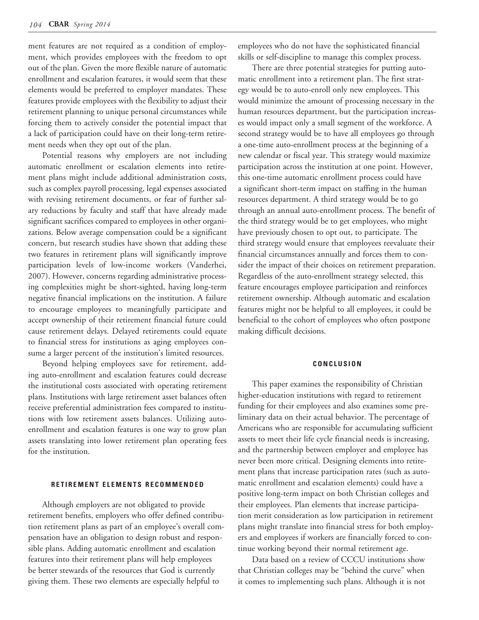ment features are not required as a condition of employment, which provides employees with the freedom to opt out of the plan. Given the more flexible nature of automatic enrollment and escalation features, it would seem that these elements would be preferred to employer mandates. These features provide employees with the flexibility to adjust their retirement planning to unique personal circumstances while forcing them to actively consider the potential impact that a lack of participation could have on their long-term retirement needs when they opt out of the plan.

Potential reasons why employers are not including automatic enrollment or escalation elements into retirement plans might include additional administration costs, such as complex payroll processing, legal expenses associated with revising retirement documents, or fear of further salary reductions by faculty and staff that have already made significant sacrifices compared to employees in other organizations. Below average compensation could be a significant concern, but research studies have shown that adding these two features in retirement plans will significantly improve participation levels of low-income workers (Vanderhei, 2007). However, concerns regarding administrative processing complexities might be short-sighted, having long-term negative financial implications on the institution. A failure to encourage employees to meaningfully participate and accept ownership of their retirement financial future could cause retirement delays. Delayed retirements could equate to financial stress for institutions as aging employees consume a larger percent of the institution's limited resources.

Beyond helping employees save for retirement, adding auto-enrollment and escalation features could decrease the institutional costs associated with operating retirement plans. Institutions with large retirement asset balances often receive preferential administration fees compared to institutions with low retirement assets balances. Utilizing autoenrollment and escalation features is one way to grow plan assets translating into lower retirement plan operating fees for the institution.

#### **RETIREMENT ELEMENTS RECOMMENDED**

Although employers are not obligated to provide retirement benefits, employers who offer defined contribution retirement plans as part of an employee's overall compensation have an obligation to design robust and responsible plans. Adding automatic enrollment and escalation features into their retirement plans will help employees be better stewards of the resources that God is currently giving them. These two elements are especially helpful to

employees who do not have the sophisticated financial skills or self-discipline to manage this complex process.

There are three potential strategies for putting automatic enrollment into a retirement plan. The first strategy would be to auto-enroll only new employees. This would minimize the amount of processing necessary in the human resources department, but the participation increases would impact only a small segment of the workforce. A second strategy would be to have all employees go through a one-time auto-enrollment process at the beginning of a new calendar or fiscal year. This strategy would maximize participation across the institution at one point. However, this one-time automatic enrollment process could have a significant short-term impact on staffing in the human resources department. A third strategy would be to go through an annual auto-enrollment process. The benefit of the third strategy would be to get employees, who might have previously chosen to opt out, to participate. The third strategy would ensure that employees reevaluate their financial circumstances annually and forces them to consider the impact of their choices on retirement preparation. Regardless of the auto-enrollment strategy selected, this feature encourages employee participation and reinforces retirement ownership. Although automatic and escalation features might not be helpful to all employees, it could be beneficial to the cohort of employees who often postpone making difficult decisions.

### **CONCLUSION**

This paper examines the responsibility of Christian higher-education institutions with regard to retirement funding for their employees and also examines some preliminary data on their actual behavior. The percentage of Americans who are responsible for accumulating sufficient assets to meet their life cycle financial needs is increasing, and the partnership between employer and employee has never been more critical. Designing elements into retirement plans that increase participation rates (such as automatic enrollment and escalation elements) could have a positive long-term impact on both Christian colleges and their employees. Plan elements that increase participation merit consideration as low participation in retirement plans might translate into financial stress for both employers and employees if workers are financially forced to continue working beyond their normal retirement age.

Data based on a review of CCCU institutions show that Christian colleges may be "behind the curve" when it comes to implementing such plans. Although it is not